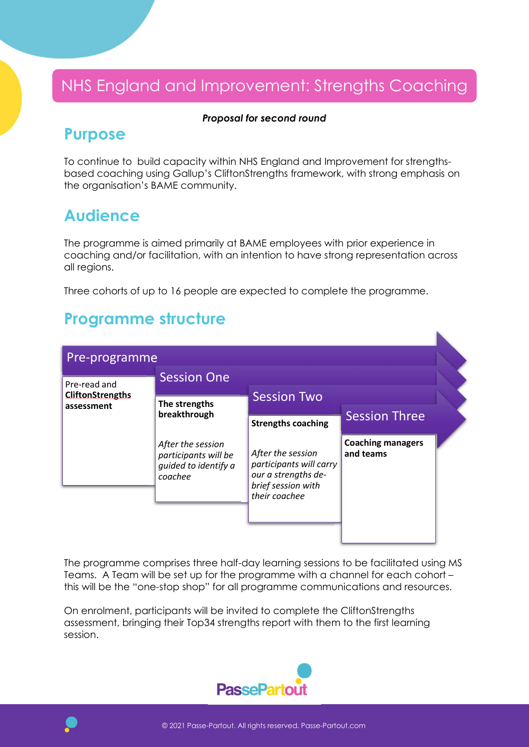# NHS England and Improvement: Strengths Coaching

#### Proposal for second round

### Purpose

To continue to build capacity within NHS England and Improvement for strengthsbased coaching using Gallup's CliftonStrengths framework, with strong emphasis on the organisation's BAME community.

## Audience

The programme is aimed primarily at BAME employees with prior experience in coaching and/or facilitation, with an intention to have strong representation across all regions.

Three cohorts of up to 16 people are expected to complete the programme.

## Programme structure

| Pre-programme                                         |                                                                              |                                                                                                            |                                       |  |
|-------------------------------------------------------|------------------------------------------------------------------------------|------------------------------------------------------------------------------------------------------------|---------------------------------------|--|
| Pre-read and<br><b>CliftonStrengths</b><br>assessment | <b>Session One</b>                                                           |                                                                                                            |                                       |  |
|                                                       | The strengths<br>breakthrough                                                | <b>Session Two</b>                                                                                         |                                       |  |
|                                                       |                                                                              | <b>Strengths coaching</b>                                                                                  | <b>Session Three</b>                  |  |
|                                                       | After the session<br>participants will be<br>quided to identify a<br>coachee | After the session<br>participants will carry<br>our a strengths de-<br>brief session with<br>their coachee | <b>Coaching managers</b><br>and teams |  |
|                                                       |                                                                              |                                                                                                            |                                       |  |

The programme comprises three half-day learning sessions to be facilitated using MS Teams. A Team will be set up for the programme with a channel for each cohort – this will be the "one-stop shop" for all programme communications and resources.

On enrolment, participants will be invited to complete the CliftonStrengths assessment, bringing their Top34 strengths report with them to the first learning session.